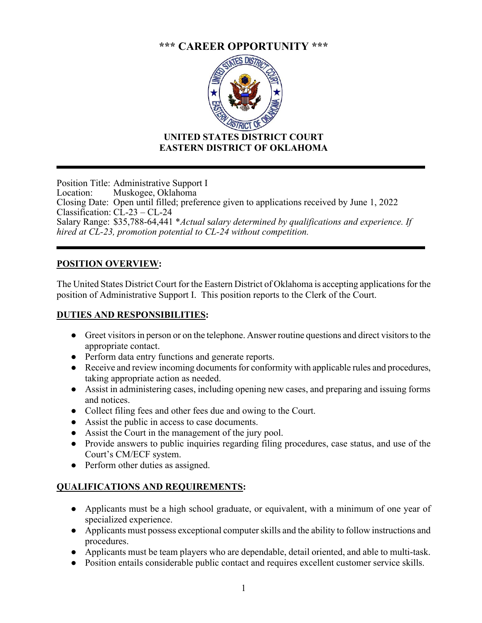# **\*\*\* CAREER OPPORTUNITY \*\*\***



## **UNITED STATES DISTRICT COURT EASTERN DISTRICT OF OKLAHOMA**

Position Title: Administrative Support I Location: Muskogee, Oklahoma Closing Date: Open until filled; preference given to applications received by June 1, 2022 Classification: CL-23 – CL-24 Salary Range: \$35,788-64,441 \**Actual* s*alary determined by qualifications and experience. If hired at CL-23, promotion potential to CL-24 without competition.* 

## **POSITION OVERVIEW:**

The United States District Court for the Eastern District of Oklahoma is accepting applications for the position of Administrative Support I. This position reports to the Clerk of the Court.

## **DUTIES AND RESPONSIBILITIES:**

- Greet visitors in person or on the telephone. Answer routine questions and direct visitors to the appropriate contact.
- Perform data entry functions and generate reports.
- Receive and review incoming documents for conformity with applicable rules and procedures, taking appropriate action as needed.
- Assist in administering cases, including opening new cases, and preparing and issuing forms and notices.
- Collect filing fees and other fees due and owing to the Court.
- Assist the public in access to case documents.
- Assist the Court in the management of the jury pool.
- Provide answers to public inquiries regarding filing procedures, case status, and use of the Court's CM/ECF system.
- Perform other duties as assigned.

## **QUALIFICATIONS AND REQUIREMENTS:**

- Applicants must be a high school graduate, or equivalent, with a minimum of one year of specialized experience.
- Applicants must possess exceptional computer skills and the ability to follow instructions and procedures.
- Applicants must be team players who are dependable, detail oriented, and able to multi-task.
- Position entails considerable public contact and requires excellent customer service skills.